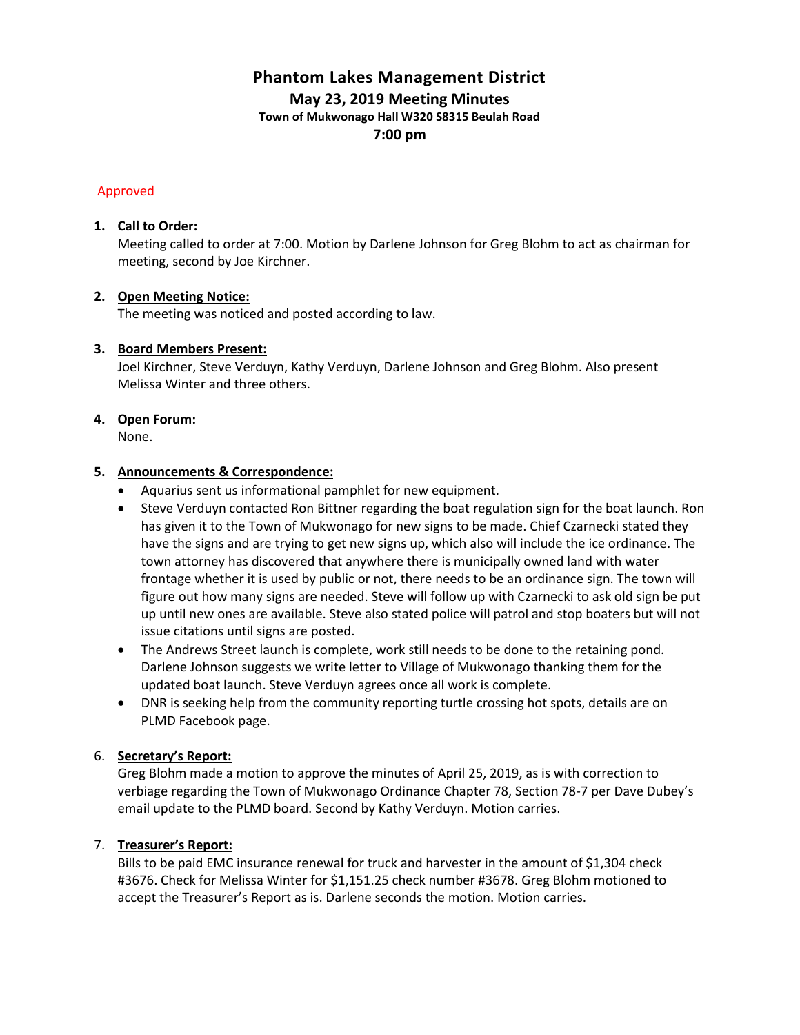# **Phantom Lakes Management District May 23, 2019 Meeting Minutes**

**Town of Mukwonago Hall W320 S8315 Beulah Road**

**7:00 pm**

# Approved

# **1. Call to Order:**

Meeting called to order at 7:00. Motion by Darlene Johnson for Greg Blohm to act as chairman for meeting, second by Joe Kirchner.

# **2. Open Meeting Notice:**

The meeting was noticed and posted according to law.

# **3. Board Members Present:**

Joel Kirchner, Steve Verduyn, Kathy Verduyn, Darlene Johnson and Greg Blohm. Also present Melissa Winter and three others.

# **4. Open Forum:**

None.

# **5. Announcements & Correspondence:**

- Aquarius sent us informational pamphlet for new equipment.
- Steve Verduyn contacted Ron Bittner regarding the boat regulation sign for the boat launch. Ron has given it to the Town of Mukwonago for new signs to be made. Chief Czarnecki stated they have the signs and are trying to get new signs up, which also will include the ice ordinance. The town attorney has discovered that anywhere there is municipally owned land with water frontage whether it is used by public or not, there needs to be an ordinance sign. The town will figure out how many signs are needed. Steve will follow up with Czarnecki to ask old sign be put up until new ones are available. Steve also stated police will patrol and stop boaters but will not issue citations until signs are posted.
- The Andrews Street launch is complete, work still needs to be done to the retaining pond. Darlene Johnson suggests we write letter to Village of Mukwonago thanking them for the updated boat launch. Steve Verduyn agrees once all work is complete.
- DNR is seeking help from the community reporting turtle crossing hot spots, details are on PLMD Facebook page.

# 6. **Secretary's Report:**

Greg Blohm made a motion to approve the minutes of April 25, 2019, as is with correction to verbiage regarding the Town of Mukwonago Ordinance Chapter 78, Section 78-7 per Dave Dubey's email update to the PLMD board. Second by Kathy Verduyn. Motion carries.

# 7. **Treasurer's Report:**

Bills to be paid EMC insurance renewal for truck and harvester in the amount of \$1,304 check #3676. Check for Melissa Winter for \$1,151.25 check number #3678. Greg Blohm motioned to accept the Treasurer's Report as is. Darlene seconds the motion. Motion carries.